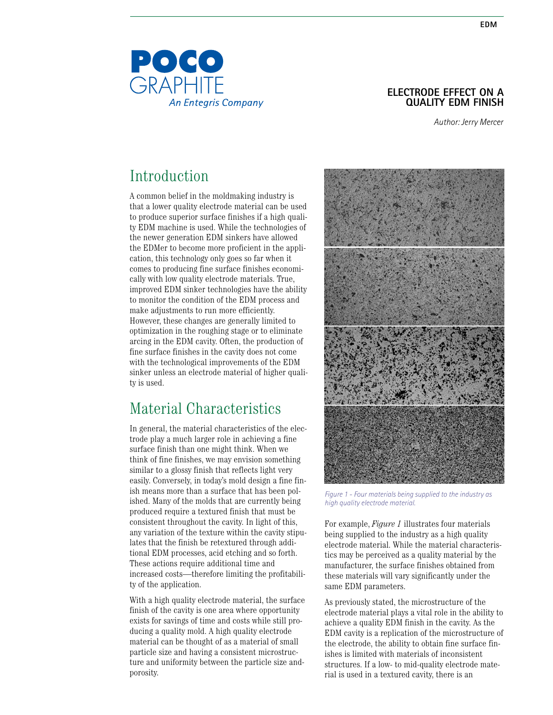### **Electrode effect on a quality EDM finish**

*Author: Jerry Mercer*

# Introduction

A common belief in the moldmaking industry is that a lower quality electrode material can be used to produce superior surface finishes if a high quality EDM machine is used. While the technologies of the newer generation EDM sinkers have allowed the EDMer to become more proficient in the application, this technology only goes so far when it comes to producing fine surface finishes economically with low quality electrode materials. True, improved EDM sinker technologies have the ability to monitor the condition of the EDM process and make adjustments to run more efficiently. However, these changes are generally limited to optimization in the roughing stage or to eliminate arcing in the EDM cavity. Often, the production of fine surface finishes in the cavity does not come with the technological improvements of the EDM sinker unless an electrode material of higher quality is used.

# Material Characteristics

In general, the material characteristics of the electrode play a much larger role in achieving a fine surface finish than one might think. When we think of fine finishes, we may envision something similar to a glossy finish that reflects light very easily. Conversely, in today's mold design a fine finish means more than a surface that has been polished. Many of the molds that are currently being produced require a textured finish that must be consistent throughout the cavity. In light of this, any variation of the texture within the cavity stipulates that the finish be retextured through additional EDM processes, acid etching and so forth. These actions require additional time and increased costs—therefore limiting the profitability of the application.

With a high quality electrode material, the surface finish of the cavity is one area where opportunity exists for savings of time and costs while still producing a quality mold. A high quality electrode material can be thought of as a material of small particle size and having a consistent microstructure and uniformity between the particle size andporosity.



*Figure 1 - Four materials being supplied to the industry as high quality electrode material.*

For example, *Figure 1* illustrates four materials being supplied to the industry as a high quality electrode material. While the material characteristics may be perceived as a quality material by the manufacturer, the surface finishes obtained from these materials will vary significantly under the same EDM parameters.

As previously stated, the microstructure of the electrode material plays a vital role in the ability to achieve a quality EDM finish in the cavity. As the EDM cavity is a replication of the microstructure of the electrode, the ability to obtain fine surface finishes is limited with materials of inconsistent structures. If a low- to mid-quality electrode material is used in a textured cavity, there is an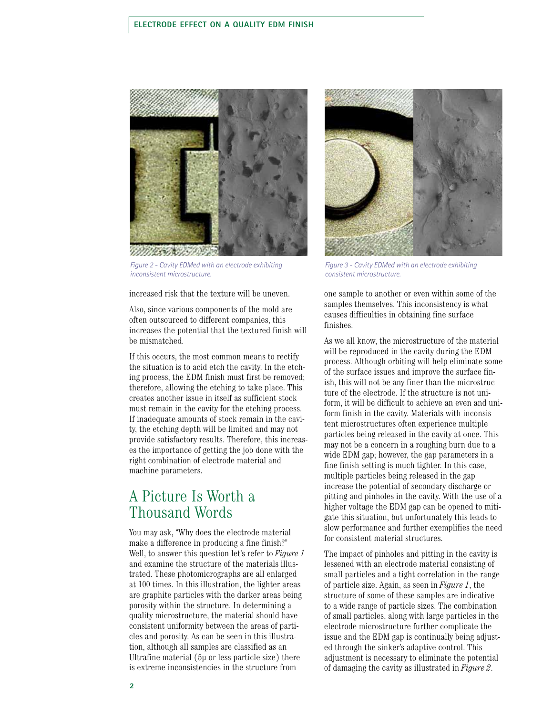#### **Electrode effect on a quality edm finish**



*Figure 2 - Cavity EDMed with an electrode exhibiting inconsistent microstructure.* 

increased risk that the texture will be uneven.

Also, since various components of the mold are often outsourced to different companies, this increases the potential that the textured finish will be mismatched.

If this occurs, the most common means to rectify the situation is to acid etch the cavity. In the etching process, the EDM finish must first be removed; therefore, allowing the etching to take place. This creates another issue in itself as sufficient stock must remain in the cavity for the etching process. If inadequate amounts of stock remain in the cavity, the etching depth will be limited and may not provide satisfactory results. Therefore, this increases the importance of getting the job done with the right combination of electrode material and machine parameters.

## A Picture Is Worth a Thousand Words

You may ask, "Why does the electrode material make a difference in producing a fine finish?" Well, to answer this question let's refer to *Figure 1* and examine the structure of the materials illustrated. These photomicrographs are all enlarged at 100 times. In this illustration, the lighter areas are graphite particles with the darker areas being porosity within the structure. In determining a quality microstructure, the material should have consistent uniformity between the areas of particles and porosity. As can be seen in this illustration, although all samples are classified as an Ultrafine material (5μ or less particle size) there is extreme inconsistencies in the structure from



*Figure 3 - Cavity EDMed with an electrode exhibiting consistent microstructure.*

one sample to another or even within some of the samples themselves. This inconsistency is what causes difficulties in obtaining fine surface finishes.

As we all know, the microstructure of the material will be reproduced in the cavity during the EDM process. Although orbiting will help eliminate some of the surface issues and improve the surface finish, this will not be any finer than the microstructure of the electrode. If the structure is not uniform, it will be difficult to achieve an even and uniform finish in the cavity. Materials with inconsistent microstructures often experience multiple particles being released in the cavity at once. This may not be a concern in a roughing burn due to a wide EDM gap; however, the gap parameters in a fine finish setting is much tighter. In this case, multiple particles being released in the gap increase the potential of secondary discharge or pitting and pinholes in the cavity. With the use of a higher voltage the EDM gap can be opened to mitigate this situation, but unfortunately this leads to slow performance and further exemplifies the need for consistent material structures.

The impact of pinholes and pitting in the cavity is lessened with an electrode material consisting of small particles and a tight correlation in the range of particle size. Again, as seen in *Figure 1*, the structure of some of these samples are indicative to a wide range of particle sizes. The combination of small particles, along with large particles in the electrode microstructure further complicate the issue and the EDM gap is continually being adjusted through the sinker's adaptive control. This adjustment is necessary to eliminate the potential of damaging the cavity as illustrated in *Figure 2*.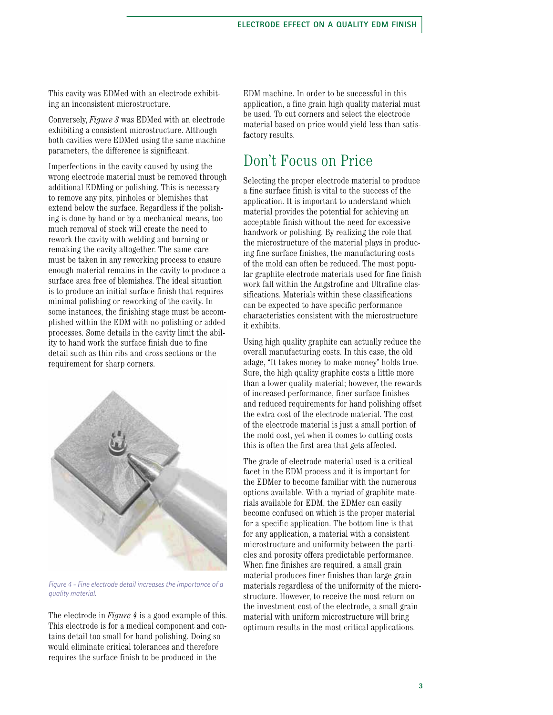This cavity was EDMed with an electrode exhibiting an inconsistent microstructure.

Conversely, *Figure 3* was EDMed with an electrode exhibiting a consistent microstructure. Although both cavities were EDMed using the same machine parameters, the difference is significant.

Imperfections in the cavity caused by using the wrong electrode material must be removed through additional EDMing or polishing. This is necessary to remove any pits, pinholes or blemishes that extend below the surface. Regardless if the polishing is done by hand or by a mechanical means, too much removal of stock will create the need to rework the cavity with welding and burning or remaking the cavity altogether. The same care must be taken in any reworking process to ensure enough material remains in the cavity to produce a surface area free of blemishes. The ideal situation is to produce an initial surface finish that requires minimal polishing or reworking of the cavity. In some instances, the finishing stage must be accomplished within the EDM with no polishing or added processes. Some details in the cavity limit the ability to hand work the surface finish due to fine detail such as thin ribs and cross sections or the requirement for sharp corners.



*Figure 4 - Fine electrode detail increases the importance of a quality material.*

The electrode in *Figure 4* is a good example of this. This electrode is for a medical component and contains detail too small for hand polishing. Doing so would eliminate critical tolerances and therefore requires the surface finish to be produced in the

EDM machine. In order to be successful in this application, a fine grain high quality material must be used. To cut corners and select the electrode material based on price would yield less than satisfactory results.

## Don't Focus on Price

Selecting the proper electrode material to produce a fine surface finish is vital to the success of the application. It is important to understand which material provides the potential for achieving an acceptable finish without the need for excessive handwork or polishing. By realizing the role that the microstructure of the material plays in producing fine surface finishes, the manufacturing costs of the mold can often be reduced. The most popular graphite electrode materials used for fine finish work fall within the Angstrofine and Ultrafine classifications. Materials within these classifications can be expected to have specific performance characteristics consistent with the microstructure it exhibits.

Using high quality graphite can actually reduce the overall manufacturing costs. In this case, the old adage, "It takes money to make money" holds true. Sure, the high quality graphite costs a little more than a lower quality material; however, the rewards of increased performance, finer surface finishes and reduced requirements for hand polishing offset the extra cost of the electrode material. The cost of the electrode material is just a small portion of the mold cost, yet when it comes to cutting costs this is often the first area that gets affected.

The grade of electrode material used is a critical facet in the EDM process and it is important for the EDMer to become familiar with the numerous options available. With a myriad of graphite materials available for EDM, the EDMer can easily become confused on which is the proper material for a specific application. The bottom line is that for any application, a material with a consistent microstructure and uniformity between the particles and porosity offers predictable performance. When fine finishes are required, a small grain material produces finer finishes than large grain materials regardless of the uniformity of the microstructure. However, to receive the most return on the investment cost of the electrode, a small grain material with uniform microstructure will bring optimum results in the most critical applications.